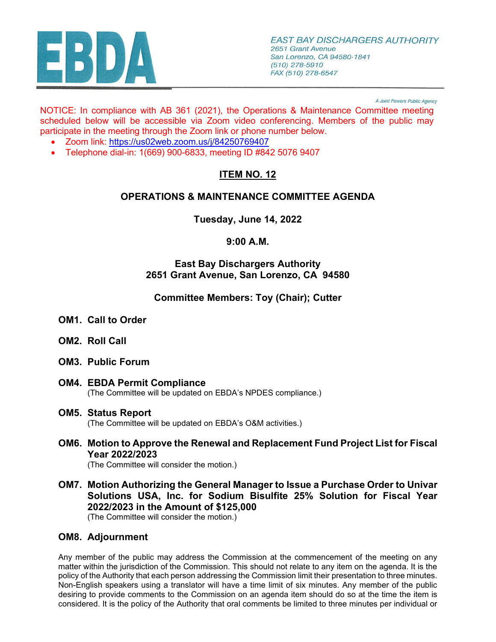

A Joint Powers Public Agency

NOTICE: In compliance with AB 361 (2021), the Operations & Maintenance Committee meeting scheduled below will be accessible via Zoom video conferencing. Members of the public may participate in the meeting through the Zoom link or phone number below.

- Zoom link: <https://us02web.zoom.us/j/84250769407>
- Telephone dial-in: 1(669) 900-6833, meeting ID #842 5076 9407

# **ITEM NO. 12**

# **OPERATIONS & MAINTENANCE COMMITTEE AGENDA**

**Tuesday, June 14, 2022** 

# **9:00 A.M.**

## **East Bay Dischargers Authority 2651 Grant Avenue, San Lorenzo, CA 94580**

# **Committee Members: Toy (Chair); Cutter**

- **OM1. Call to Order**
- **OM2. Roll Call**
- **OM3. Public Forum**
- **OM4. [EBDA Permit Compliance](#page-2-0)** (The Committee will be updated on EBDA's NPDES compliance.)
- **OM5. [Status Report](#page-4-0)** (The Committee will be updated on EBDA's O&M activities.)
- **OM6. [Motion to Approve the Renewal and Replacement Fund Project List for Fiscal](#page-8-0) Year 2022/2023**

(The Committee will consider the motion.)

**OM7. [Motion Authorizing the General Manager to Issue a Purchase Order to Univar](#page-11-0) Solutions USA, Inc. for Sodium Bisulfite 25% Solution for Fiscal Year 2022/2023 in the Amount of \$125,000** 

(The Committee will consider the motion.)

#### **OM8. Adjournment**

Any member of the public may address the Commission at the commencement of the meeting on any matter within the jurisdiction of the Commission. This should not relate to any item on the agenda. It is the policy of the Authority that each person addressing the Commission limit their presentation to three minutes. Non-English speakers using a translator will have a time limit of six minutes. Any member of the public desiring to provide comments to the Commission on an agenda item should do so at the time the item is considered. It is the policy of the Authority that oral comments be limited to three minutes per individual or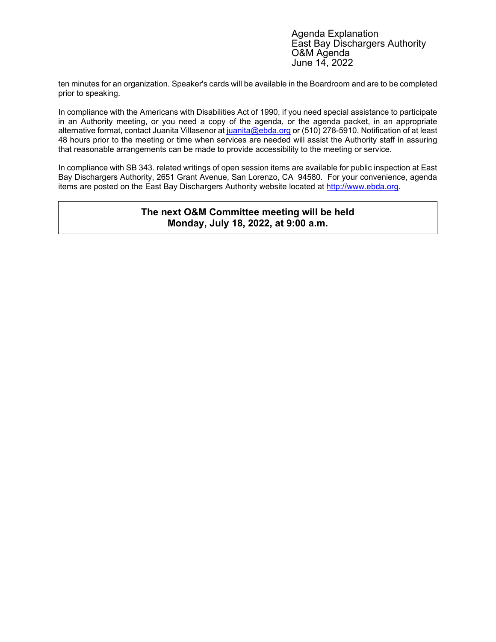ten minutes for an organization. Speaker's cards will be available in the Boardroom and are to be completed prior to speaking.

In compliance with the Americans with Disabilities Act of 1990, if you need special assistance to participate in an Authority meeting, or you need a copy of the agenda, or the agenda packet, in an appropriate alternative format, contact Juanita Villasenor at [juanita@ebda.org](mailto:juanita@ebda.org) or (510) 278-5910. Notification of at least 48 hours prior to the meeting or time when services are needed will assist the Authority staff in assuring that reasonable arrangements can be made to provide accessibility to the meeting or service.

In compliance with SB 343. related writings of open session items are available for public inspection at East Bay Dischargers Authority, 2651 Grant Avenue, San Lorenzo, CA 94580. For your convenience, agenda items are posted on the East Bay Dischargers Authority website located at [http://www.ebda.org.](http://www.ebda.org/)

# **The next O&M Committee meeting will be held Monday, July 18, 2022, at 9:00 a.m.**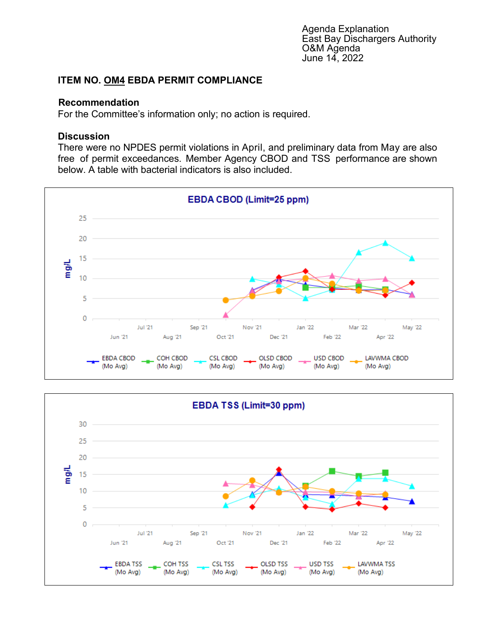# <span id="page-2-0"></span>**ITEM NO. OM4 EBDA PERMIT COMPLIANCE**

#### **Recommendation**

For the Committee's information only; no action is required.

#### **Discussion**

There were no NPDES permit violations in April, and preliminary data from May are also free of permit exceedances. Member Agency CBOD and TSS performance are shown below. A table with bacterial indicators is also included.



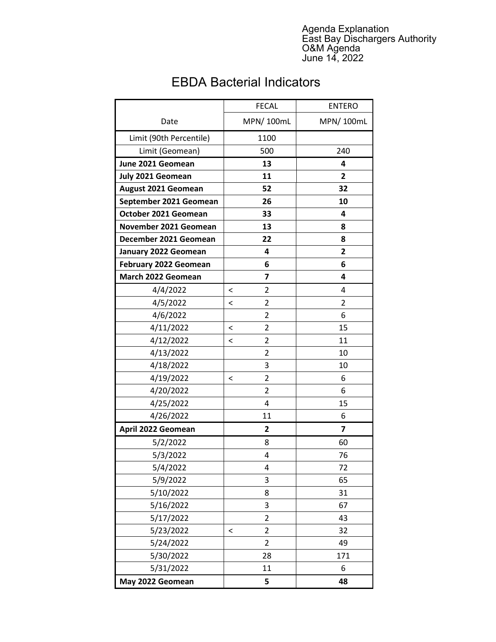# EBDA Bacterial Indicators

|                              | <b>FECAL</b>              | <b>ENTERO</b>           |
|------------------------------|---------------------------|-------------------------|
| Date                         | MPN/100mL                 | MPN/100mL               |
| Limit (90th Percentile)      | 1100                      |                         |
| Limit (Geomean)              | 500                       | 240                     |
| June 2021 Geomean            | 13                        | 4                       |
| July 2021 Geomean            | 11                        | 2                       |
| August 2021 Geomean          | 52                        | 32                      |
| September 2021 Geomean       | 26                        | 10                      |
| October 2021 Geomean         | 33                        | 4                       |
| November 2021 Geomean        | 13                        | 8                       |
| December 2021 Geomean        | 22                        | 8                       |
| January 2022 Geomean         | 4                         | 2                       |
| <b>February 2022 Geomean</b> | 6                         | 6                       |
| March 2022 Geomean           | 7                         | 4                       |
| 4/4/2022                     | $\overline{2}$<br>$\,<\,$ | 4                       |
| 4/5/2022                     | $\overline{2}$<br>$\,<$   | 2                       |
| 4/6/2022                     | $\overline{2}$            | 6                       |
| 4/11/2022                    | 2<br>$\,<$                | 15                      |
| 4/12/2022                    | 2<br>$\,<\,$              | 11                      |
| 4/13/2022                    | 2                         | 10                      |
| 4/18/2022                    | 3                         | 10                      |
| 4/19/2022                    | $\overline{2}$<br>$\,<\,$ | 6                       |
| 4/20/2022                    | 2                         | 6                       |
| 4/25/2022                    | 4                         | 15                      |
| 4/26/2022                    | 11                        | 6                       |
| April 2022 Geomean           | 2                         | $\overline{\mathbf{z}}$ |
| 5/2/2022                     | 8                         | 60                      |
| 5/3/2022                     | 4                         | 76                      |
| 5/4/2022                     | 4                         | 72                      |
| 5/9/2022                     | 3                         | 65                      |
| 5/10/2022                    | 8                         | 31                      |
| 5/16/2022                    | 3                         | 67                      |
| 5/17/2022                    | $\overline{2}$            | 43                      |
| 5/23/2022                    | 2<br>$\,<$                | 32                      |
| 5/24/2022                    | $\overline{2}$            | 49                      |
| 5/30/2022                    | 28                        | 171                     |
| 5/31/2022                    | 11                        | 6                       |
| May 2022 Geomean             | 5                         | 48                      |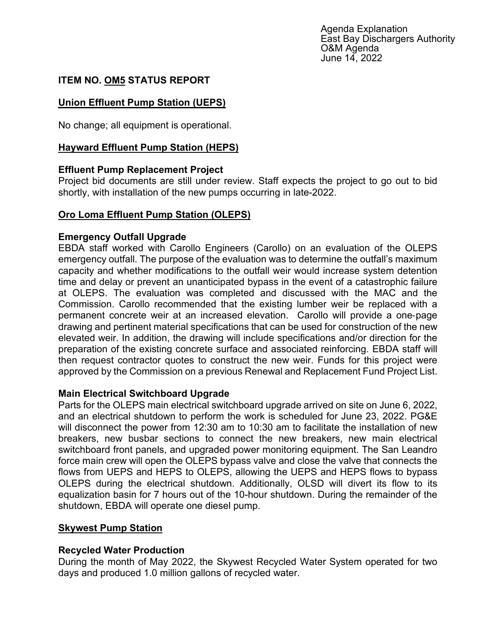# <span id="page-4-0"></span>**ITEM NO. OM5 STATUS REPORT**

# **Union Effluent Pump Station (UEPS)**

No change; all equipment is operational.

#### **Hayward Effluent Pump Station (HEPS)**

#### **Effluent Pump Replacement Project**

Project bid documents are still under review. Staff expects the project to go out to bid shortly, with installation of the new pumps occurring in late-2022.

#### **Oro Loma Effluent Pump Station (OLEPS)**

#### **Emergency Outfall Upgrade**

EBDA staff worked with Carollo Engineers (Carollo) on an evaluation of the OLEPS emergency outfall. The purpose of the evaluation was to determine the outfall's maximum capacity and whether modifications to the outfall weir would increase system detention time and delay or prevent an unanticipated bypass in the event of a catastrophic failure at OLEPS. The evaluation was completed and discussed with the MAC and the Commission. Carollo recommended that the existing lumber weir be replaced with a permanent concrete weir at an increased elevation. Carollo will provide a one‐page drawing and pertinent material specifications that can be used for construction of the new elevated weir. In addition, the drawing will include specifications and/or direction for the preparation of the existing concrete surface and associated reinforcing. EBDA staff will then request contractor quotes to construct the new weir. Funds for this project were approved by the Commission on a previous Renewal and Replacement Fund Project List.

#### **Main Electrical Switchboard Upgrade**

Parts for the OLEPS main electrical switchboard upgrade arrived on site on June 6, 2022, and an electrical shutdown to perform the work is scheduled for June 23, 2022. PG&E will disconnect the power from 12:30 am to 10:30 am to facilitate the installation of new breakers, new busbar sections to connect the new breakers, new main electrical switchboard front panels, and upgraded power monitoring equipment. The San Leandro force main crew will open the OLEPS bypass valve and close the valve that connects the flows from UEPS and HEPS to OLEPS, allowing the UEPS and HEPS flows to bypass OLEPS during the electrical shutdown. Additionally, OLSD will divert its flow to its equalization basin for 7 hours out of the 10-hour shutdown. During the remainder of the shutdown, EBDA will operate one diesel pump.

# **Skywest Pump Station**

#### **Recycled Water Production**

During the month of May 2022, the Skywest Recycled Water System operated for two days and produced 1.0 million gallons of recycled water.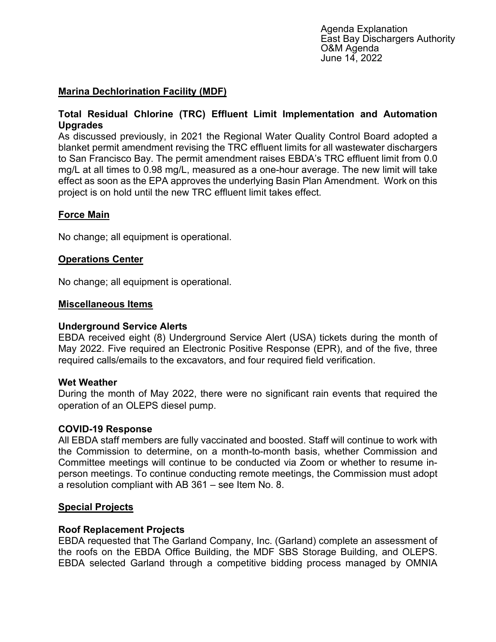# **Marina Dechlorination Facility (MDF)**

# **Total Residual Chlorine (TRC) Effluent Limit Implementation and Automation Upgrades**

As discussed previously, in 2021 the Regional Water Quality Control Board adopted a blanket permit amendment revising the TRC effluent limits for all wastewater dischargers to San Francisco Bay. The permit amendment raises EBDA's TRC effluent limit from 0.0 mg/L at all times to 0.98 mg/L, measured as a one-hour average. The new limit will take effect as soon as the EPA approves the underlying Basin Plan Amendment. Work on this project is on hold until the new TRC effluent limit takes effect.

# **Force Main**

No change; all equipment is operational.

# **Operations Center**

No change; all equipment is operational.

#### **Miscellaneous Items**

#### **Underground Service Alerts**

EBDA received eight (8) Underground Service Alert (USA) tickets during the month of May 2022. Five required an Electronic Positive Response (EPR), and of the five, three required calls/emails to the excavators, and four required field verification.

#### **Wet Weather**

During the month of May 2022, there were no significant rain events that required the operation of an OLEPS diesel pump.

#### **COVID-19 Response**

All EBDA staff members are fully vaccinated and boosted. Staff will continue to work with the Commission to determine, on a month-to-month basis, whether Commission and Committee meetings will continue to be conducted via Zoom or whether to resume inperson meetings. To continue conducting remote meetings, the Commission must adopt a resolution compliant with AB 361 – see Item No. 8.

#### **Special Projects**

#### **Roof Replacement Projects**

EBDA requested that The Garland Company, Inc. (Garland) complete an assessment of the roofs on the EBDA Office Building, the MDF SBS Storage Building, and OLEPS. EBDA selected Garland through a competitive bidding process managed by OMNIA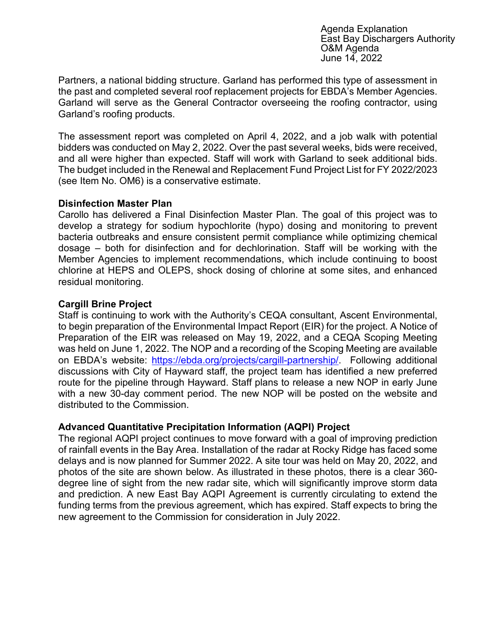Partners, a national bidding structure. Garland has performed this type of assessment in the past and completed several roof replacement projects for EBDA's Member Agencies. Garland will serve as the General Contractor overseeing the roofing contractor, using Garland's roofing products.

The assessment report was completed on April 4, 2022, and a job walk with potential bidders was conducted on May 2, 2022. Over the past several weeks, bids were received, and all were higher than expected. Staff will work with Garland to seek additional bids. The budget included in the Renewal and Replacement Fund Project List for FY 2022/2023 (see Item No. OM6) is a conservative estimate.

# **Disinfection Master Plan**

Carollo has delivered a Final Disinfection Master Plan. The goal of this project was to develop a strategy for sodium hypochlorite (hypo) dosing and monitoring to prevent bacteria outbreaks and ensure consistent permit compliance while optimizing chemical dosage – both for disinfection and for dechlorination. Staff will be working with the Member Agencies to implement recommendations, which include continuing to boost chlorine at HEPS and OLEPS, shock dosing of chlorine at some sites, and enhanced residual monitoring.

# **Cargill Brine Project**

Staff is continuing to work with the Authority's CEQA consultant, Ascent Environmental, to begin preparation of the Environmental Impact Report (EIR) for the project. A Notice of Preparation of the EIR was released on May 19, 2022, and a CEQA Scoping Meeting was held on June 1, 2022. The NOP and a recording of the Scoping Meeting are available on EBDA's website: [https://ebda.org/projects/cargill-partnership/.](https://ebda.org/projects/cargill-partnership/) Following additional discussions with City of Hayward staff, the project team has identified a new preferred route for the pipeline through Hayward. Staff plans to release a new NOP in early June with a new 30-day comment period. The new NOP will be posted on the website and distributed to the Commission.

# **Advanced Quantitative Precipitation Information (AQPI) Project**

The regional AQPI project continues to move forward with a goal of improving prediction of rainfall events in the Bay Area. Installation of the radar at Rocky Ridge has faced some delays and is now planned for Summer 2022. A site tour was held on May 20, 2022, and photos of the site are shown below. As illustrated in these photos, there is a clear 360 degree line of sight from the new radar site, which will significantly improve storm data and prediction. A new East Bay AQPI Agreement is currently circulating to extend the funding terms from the previous agreement, which has expired. Staff expects to bring the new agreement to the Commission for consideration in July 2022.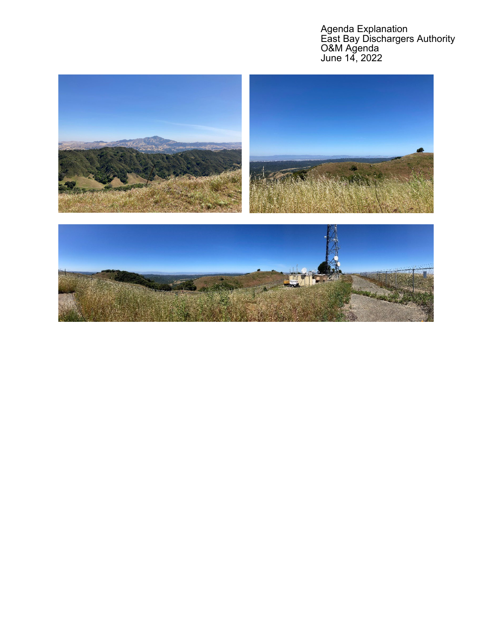

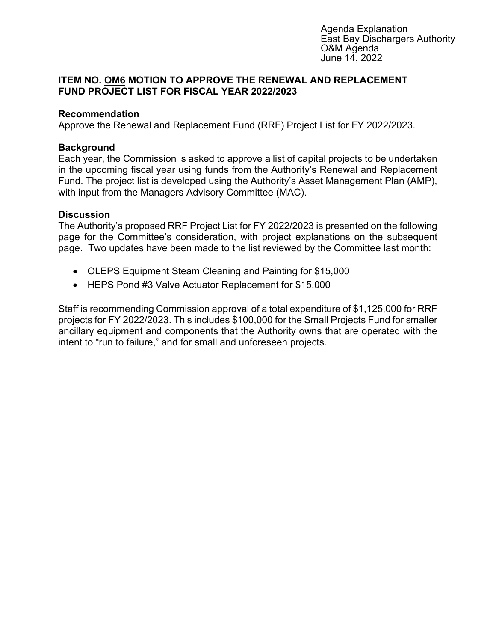# <span id="page-8-0"></span>**ITEM NO. OM6 MOTION TO APPROVE THE RENEWAL AND REPLACEMENT FUND PROJECT LIST FOR FISCAL YEAR 2022/2023**

# **Recommendation**

Approve the Renewal and Replacement Fund (RRF) Project List for FY 2022/2023.

# **Background**

Each year, the Commission is asked to approve a list of capital projects to be undertaken in the upcoming fiscal year using funds from the Authority's Renewal and Replacement Fund. The project list is developed using the Authority's Asset Management Plan (AMP), with input from the Managers Advisory Committee (MAC).

#### **Discussion**

The Authority's proposed RRF Project List for FY 2022/2023 is presented on the following page for the Committee's consideration, with project explanations on the subsequent page. Two updates have been made to the list reviewed by the Committee last month:

- OLEPS Equipment Steam Cleaning and Painting for \$15,000
- HEPS Pond #3 Valve Actuator Replacement for \$15,000

Staff is recommending Commission approval of a total expenditure of \$1,125,000 for RRF projects for FY 2022/2023. This includes \$100,000 for the Small Projects Fund for smaller ancillary equipment and components that the Authority owns that are operated with the intent to "run to failure," and for small and unforeseen projects.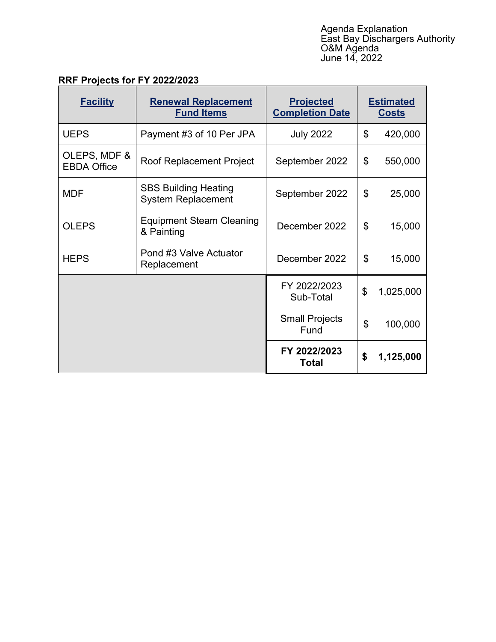# **RRF Projects for FY 2022/2023**

| <b>Facility</b>                    | <b>Renewal Replacement</b><br><b>Fund Items</b>                | <b>Projected</b><br><b>Completion Date</b> | <b>Estimated</b><br><b>Costs</b> |           |
|------------------------------------|----------------------------------------------------------------|--------------------------------------------|----------------------------------|-----------|
| <b>UEPS</b>                        | Payment #3 of 10 Per JPA                                       | <b>July 2022</b>                           | \$                               | 420,000   |
| OLEPS, MDF &<br><b>EBDA Office</b> | Roof Replacement Project                                       | September 2022                             |                                  | 550,000   |
| <b>MDF</b>                         | <b>SBS Building Heating</b><br><b>System Replacement</b>       | September 2022                             | \$                               | 25,000    |
| <b>OLEPS</b>                       | <b>Equipment Steam Cleaning</b><br>December 2022<br>& Painting |                                            | \$                               | 15,000    |
| <b>HEPS</b>                        | Pond #3 Valve Actuator<br>Replacement                          | December 2022                              | \$                               | 15,000    |
|                                    |                                                                | FY 2022/2023<br>Sub-Total                  | \$                               | 1,025,000 |
|                                    |                                                                | <b>Small Projects</b><br>Fund              | \$                               | 100,000   |
|                                    |                                                                | FY 2022/2023<br>Total                      | \$                               | 1,125,000 |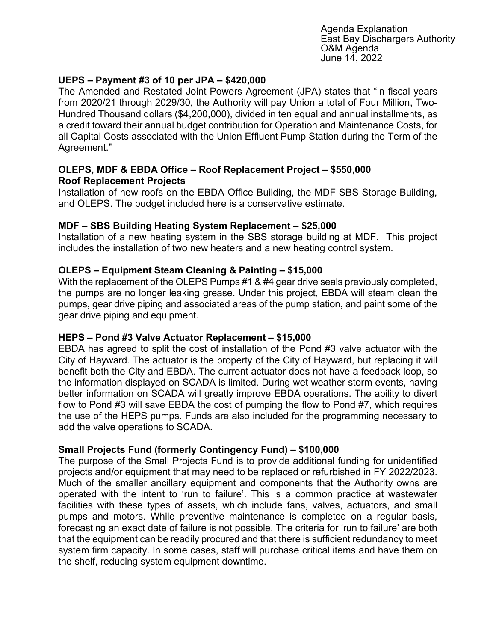# **UEPS – Payment #3 of 10 per JPA – \$420,000**

The Amended and Restated Joint Powers Agreement (JPA) states that "in fiscal years from 2020/21 through 2029/30, the Authority will pay Union a total of Four Million, Two-Hundred Thousand dollars (\$4,200,000), divided in ten equal and annual installments, as a credit toward their annual budget contribution for Operation and Maintenance Costs, for all Capital Costs associated with the Union Effluent Pump Station during the Term of the Agreement."

# **OLEPS, MDF & EBDA Office – Roof Replacement Project – \$550,000 Roof Replacement Projects**

Installation of new roofs on the EBDA Office Building, the MDF SBS Storage Building, and OLEPS. The budget included here is a conservative estimate.

# **MDF – SBS Building Heating System Replacement – \$25,000**

Installation of a new heating system in the SBS storage building at MDF. This project includes the installation of two new heaters and a new heating control system.

# **OLEPS – Equipment Steam Cleaning & Painting – \$15,000**

With the replacement of the OLEPS Pumps #1 & #4 gear drive seals previously completed, the pumps are no longer leaking grease. Under this project, EBDA will steam clean the pumps, gear drive piping and associated areas of the pump station, and paint some of the gear drive piping and equipment.

# **HEPS – Pond #3 Valve Actuator Replacement – \$15,000**

EBDA has agreed to split the cost of installation of the Pond #3 valve actuator with the City of Hayward. The actuator is the property of the City of Hayward, but replacing it will benefit both the City and EBDA. The current actuator does not have a feedback loop, so the information displayed on SCADA is limited. During wet weather storm events, having better information on SCADA will greatly improve EBDA operations. The ability to divert flow to Pond #3 will save EBDA the cost of pumping the flow to Pond #7, which requires the use of the HEPS pumps. Funds are also included for the programming necessary to add the valve operations to SCADA.

# **Small Projects Fund (formerly Contingency Fund) – \$100,000**

The purpose of the Small Projects Fund is to provide additional funding for unidentified projects and/or equipment that may need to be replaced or refurbished in FY 2022/2023. Much of the smaller ancillary equipment and components that the Authority owns are operated with the intent to 'run to failure'. This is a common practice at wastewater facilities with these types of assets, which include fans, valves, actuators, and small pumps and motors. While preventive maintenance is completed on a regular basis, forecasting an exact date of failure is not possible. The criteria for 'run to failure' are both that the equipment can be readily procured and that there is sufficient redundancy to meet system firm capacity. In some cases, staff will purchase critical items and have them on the shelf, reducing system equipment downtime.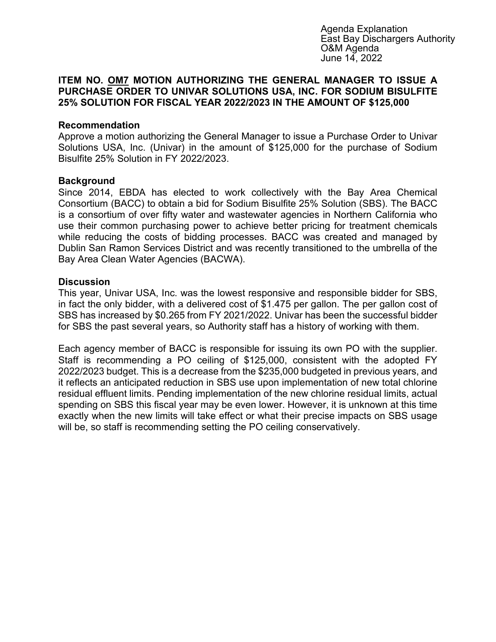# <span id="page-11-0"></span>**ITEM NO. OM7 MOTION AUTHORIZING THE GENERAL MANAGER TO ISSUE A PURCHASE ORDER TO UNIVAR SOLUTIONS USA, INC. FOR SODIUM BISULFITE 25% SOLUTION FOR FISCAL YEAR 2022/2023 IN THE AMOUNT OF \$125,000**

## **Recommendation**

Approve a motion authorizing the General Manager to issue a Purchase Order to Univar Solutions USA, Inc. (Univar) in the amount of \$125,000 for the purchase of Sodium Bisulfite 25% Solution in FY 2022/2023.

# **Background**

Since 2014, EBDA has elected to work collectively with the Bay Area Chemical Consortium (BACC) to obtain a bid for Sodium Bisulfite 25% Solution (SBS). The BACC is a consortium of over fifty water and wastewater agencies in Northern California who use their common purchasing power to achieve better pricing for treatment chemicals while reducing the costs of bidding processes. BACC was created and managed by Dublin San Ramon Services District and was recently transitioned to the umbrella of the Bay Area Clean Water Agencies (BACWA).

#### **Discussion**

This year, Univar USA, Inc. was the lowest responsive and responsible bidder for SBS, in fact the only bidder, with a delivered cost of \$1.475 per gallon. The per gallon cost of SBS has increased by \$0.265 from FY 2021/2022. Univar has been the successful bidder for SBS the past several years, so Authority staff has a history of working with them.

Each agency member of BACC is responsible for issuing its own PO with the supplier. Staff is recommending a PO ceiling of \$125,000, consistent with the adopted FY 2022/2023 budget. This is a decrease from the \$235,000 budgeted in previous years, and it reflects an anticipated reduction in SBS use upon implementation of new total chlorine residual effluent limits. Pending implementation of the new chlorine residual limits, actual spending on SBS this fiscal year may be even lower. However, it is unknown at this time exactly when the new limits will take effect or what their precise impacts on SBS usage will be, so staff is recommending setting the PO ceiling conservatively.